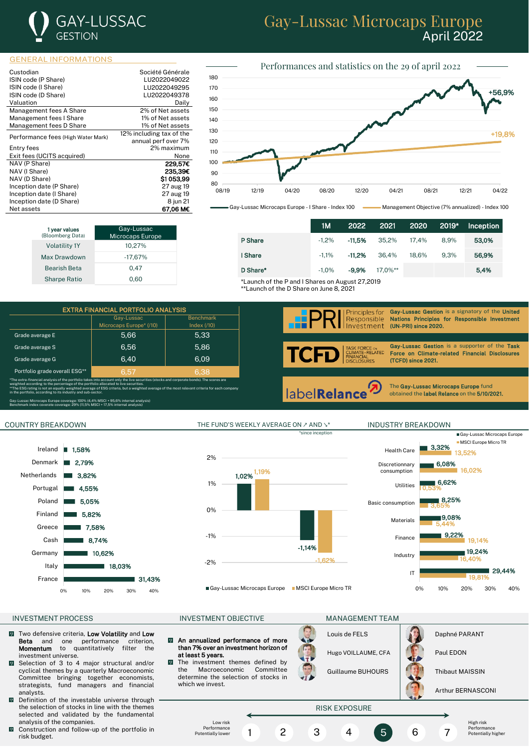

# Gay-Lussac Microcaps Europe April 2022

#### GENERAL INFORMATIONS

| Custodian                          | Société Générale         |
|------------------------------------|--------------------------|
| ISIN code (P Share)                | LU2022049022             |
| ISIN code (I Share)                | LU2022049295             |
| ISIN code (D Share)                | LU2022049378             |
|                                    |                          |
| Valuation                          | Daily                    |
| Management fees A Share            | 2% of Net assets         |
| Management fees I Share            | 1% of Net assets         |
| Management fees D Share            | 1% of Net assets         |
|                                    | 12% including tax of the |
| Performance fees (High Water Mark) | annual perf over 7%      |
| Entry fees                         | 2% maximum               |
| Exit fees (UCITS acquired)         | None                     |
| NAV (P Share)                      | 229,57€                  |
| NAV (I Share)                      | 235.39€                  |
| NAV (D Share)                      | S1053.99                 |
| Inception date (P Share)           | 27 aug 19                |
| Inception date (I Share)           | 27 aug 19                |
| Inception date (D Share)           | 8 jun 21                 |
| Net assets                         | 67.06 M€                 |



Gay-Lussac Microcaps Europe - I Share - Index 100 **Comment** Management Objective (7% annualized) - Index 100

| 1 year values<br>(Bloomberg Data) | Gay-Lussac<br><b>Microcaps Europe</b> |
|-----------------------------------|---------------------------------------|
| <b>Volatility 1Y</b>              | 10,27%                                |
| Max Drawdown                      | $-17.67%$                             |
| <b>Bearish Beta</b>               | 0.47                                  |
| <b>Sharpe Ratio</b>               | 0.60                                  |

|                                                 | 1М       | 2022     |            |       | 2021 2020 2019* | Inception |
|-------------------------------------------------|----------|----------|------------|-------|-----------------|-----------|
| P Share                                         | $-1.2\%$ | $-11.5%$ | 35.2%      | 17.4% | 8.9%            | 53,0%     |
| I Share                                         | $-1.1\%$ | $-11.2%$ | 36.4%      | 18.6% | 9.3%            | 56.9%     |
| D Share*                                        | $-1.0\%$ | $-9.9%$  | $17.0\%**$ |       |                 | 5.4%      |
| *Launch of the P and I Shares on August 27,2019 |          |          |            |       |                 |           |

\*\*Launch of the D Share on June 8, 2021

|                                                                                                                                                                                                                                                                                                                                                                                                                                             | <b>EXTRA FINANCIAL PORTFOLIO ANALYSIS</b> |                                   |
|---------------------------------------------------------------------------------------------------------------------------------------------------------------------------------------------------------------------------------------------------------------------------------------------------------------------------------------------------------------------------------------------------------------------------------------------|-------------------------------------------|-----------------------------------|
|                                                                                                                                                                                                                                                                                                                                                                                                                                             | Gay-Lussac<br>Microcaps Europe* (/10)     | <b>Benchmark</b><br>Index $(710)$ |
| Grade average E                                                                                                                                                                                                                                                                                                                                                                                                                             | 5.66                                      | 5,33                              |
| Grade average S                                                                                                                                                                                                                                                                                                                                                                                                                             | 6.56                                      | 5.86                              |
| Grade average G                                                                                                                                                                                                                                                                                                                                                                                                                             | 6.40                                      | 6.09                              |
| Portfolio grade overall ESG**                                                                                                                                                                                                                                                                                                                                                                                                               | 6.57                                      | 6.38                              |
| *The extra-financial analysis of the portfolio takes into account only the live securities (stocks and corporate bonds). The scores are<br>weighted according to the percentage of the portfolio allocated to live securities.<br>**The ESG rating is not an equally weighted average of ESG criteria, but a weighted average of the most relevant criteria for each company<br>in the portfolio, according to its industry and sub-sector. |                                           |                                   |
| Gay-Lussac Microcaps Europe coverage: 100% (4,4% MSCI + 95,6% internal analysis)<br>Benchmark index coverate coverage: 29% (11,5% MSCI + 17,5% internal analysis)                                                                                                                                                                                                                                                                           |                                           |                                   |

### COUNTRY BREAKDOWN THE FUND'S WEEKLY AVERAGE ON ↗ AND ↘\* INDUSTRY BREAKDOWN









- Two defensive criteria, Low Volatility and Low  $\sqrt{2}$ Beta and one performance criterion, Momentum to quantitatively filter the investment universe.
- Selection of 3 to 4 major structural and/or  $\overline{9}$ cyclical themes by a quarterly Macroeconomic Committee bringing together economists, strategists, fund managers and financial analysts.
- $\overline{\mathbf{Q}}$ Definition of the investable universe through the selection of stocks in line with the themes selected and validated by the fundamental analysis of the companies.
- $\blacksquare$  Construction and follow-up of the portfolio in risk budget.

#### INVESTMENT PROCESS **INVESTMENT OBJECTIVE MANAGEMENT TEAM**

- $\boldsymbol{\mathsf{Q}}$ An annualized performance of more than 7% over an investment horizon of at least 5 years.
- $\sqrt{2}$ The investment themes defined by the Macroeconomic Committee determine the selection of stocks in which we invest.

Louis de FELS **Daphné PARANT** 

Hugo VOILLAUME, CFA | Paul EDON

Guillaume BUHOURS Thibaut MAISSIN

Arthur BERNASCONI

#### RISK EXPOSURE Low risk Performance Potentially lower High risk Performance Potentially higher 1 2 3 4 5 6 7